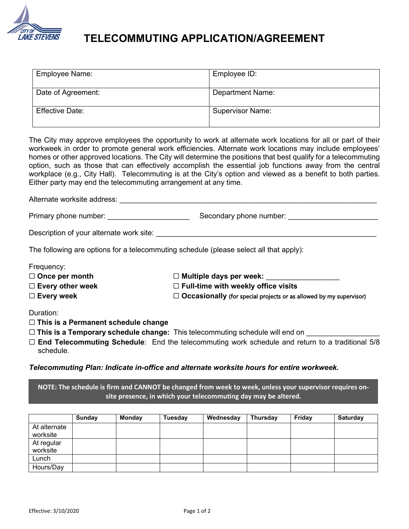

## **TELECOMMUTING APPLICATION/AGREEMENT**

| Employee Name:     | Employee ID:            |
|--------------------|-------------------------|
| Date of Agreement: | <b>Department Name:</b> |
| Effective Date:    | <b>Supervisor Name:</b> |

The City may approve employees the opportunity to work at alternate work locations for all or part of their workweek in order to promote general work efficiencies. Alternate work locations may include employees' homes or other approved locations. The City will determine the positions that best qualify for a telecommuting option, such as those that can effectively accomplish the essential job functions away from the central workplace (e.g., City Hall). Telecommuting is at the City's option and viewed as a benefit to both parties. Either party may end the telecommuting arrangement at any time.

Alternate worksite address: \_\_\_\_\_\_\_\_\_\_\_\_\_\_\_\_\_\_\_\_\_\_\_\_\_\_\_\_\_\_\_\_\_\_\_\_\_\_\_\_\_\_\_\_\_\_\_\_\_\_\_\_\_\_\_\_\_\_\_\_\_\_\_

| Primary phone number: | Secondary phone number: |
|-----------------------|-------------------------|
|                       |                         |

Description of your alternate work site: \_\_\_\_\_\_\_\_\_\_\_\_\_\_\_\_\_\_\_\_\_\_\_\_\_\_\_\_\_\_\_\_\_\_\_\_\_\_\_\_\_\_\_\_\_\_\_\_\_\_\_\_\_\_

The following are options for a telecommuting schedule (please select all that apply):

Frequency:

| $\Box$ Once per month   | $\Box$ Multiple days per week:                                            |
|-------------------------|---------------------------------------------------------------------------|
| $\Box$ Every other week | $\Box$ Full-time with weekly office visits                                |
| $\Box$ Every week       | $\Box$ Occasionally (for special projects or as allowed by my supervisor) |

Duration:

- ☐ **This is a Permanent schedule change**
- □ This is a Temporary schedule change: This telecommuting schedule will end on
- ☐ **End Telecommuting Schedule**: End the telecommuting work schedule and return to a traditional 5/8 schedule.

*Telecommuting Plan: Indicate in-office and alternate worksite hours for entire workweek.*

**NOTE: The schedule is firm and CANNOT be changed from week to week, unless your supervisor requires onsite presence, in which your telecommuting day may be altered.**

|              | Sunday | <b>Monday</b> | Tuesday | Wednesday | Thursday | Friday | Saturday |
|--------------|--------|---------------|---------|-----------|----------|--------|----------|
| At alternate |        |               |         |           |          |        |          |
| worksite     |        |               |         |           |          |        |          |
| At regular   |        |               |         |           |          |        |          |
| worksite     |        |               |         |           |          |        |          |
| Lunch        |        |               |         |           |          |        |          |
| Hours/Day    |        |               |         |           |          |        |          |